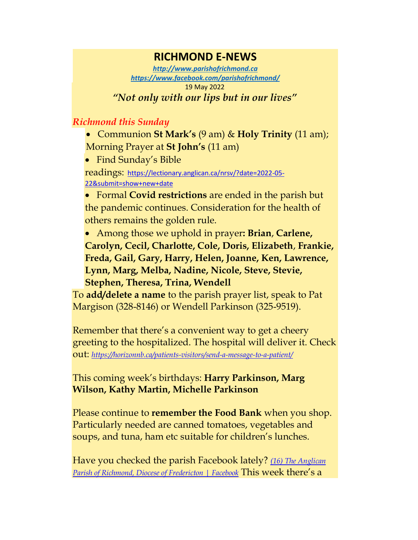## **RICHMOND E-NEWS**

*[http://www.parishofrichmond.ca](http://www.parishofrichmond.ca/) <https://www.facebook.com/parishofrichmond/>* 19 May 2022 *"Not only with our lips but in our lives"*

## *Richmond this Sunday*

• Communion **St Mark's** (9 am) & **Holy Trinity** (11 am); Morning Prayer at **St John's** (11 am)

• Find Sunday's Bible

readings: [https://lectionary.anglican.ca/nrsv/?date=2022-05-](https://lectionary.anglican.ca/nrsv/?date=2022-05-22&submit=show+new+date) [22&submit=show+new+date](https://lectionary.anglican.ca/nrsv/?date=2022-05-22&submit=show+new+date)

• Formal **Covid restrictions** are ended in the parish but the pandemic continues. Consideration for the health of others remains the golden rule.

• Among those we uphold in prayer**: Brian**, **Carlene, Carolyn, Cecil, Charlotte, Cole, Doris, Elizabeth**, **Frankie, Freda, Gail, Gary, Harry, Helen, Joanne, Ken, Lawrence, Lynn, Marg, Melba, Nadine, Nicole, Steve, Stevie, Stephen, Theresa, Trina, Wendell**

To **add/delete a name** to the parish prayer list, speak to Pat Margison (328-8146) or Wendell Parkinson (325-9519).

Remember that there's a convenient way to get a cheery greeting to the hospitalized. The hospital will deliver it. Check out: *<https://horizonnb.ca/patients-visitors/send-a-message-to-a-patient/>*

## This coming week's birthdays: **Harry Parkinson, Marg Wilson, Kathy Martin, Michelle Parkinson**

Please continue to **remember the Food Bank** when you shop. Particularly needed are canned tomatoes, vegetables and soups, and tuna, ham etc suitable for children's lunches.

Have you checked the parish Facebook lately? *[\(16\) The Anglican](https://www.facebook.com/parishofrichmond/)  [Parish of Richmond, Diocese of Fredericton | Facebook](https://www.facebook.com/parishofrichmond/) This week there's a*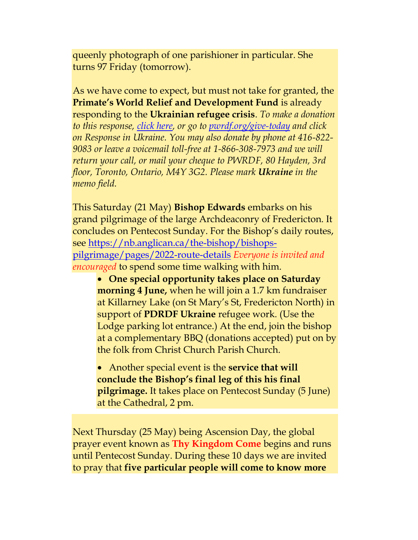queenly photograph of one parishioner in particular. She turns 97 Friday (tomorrow).

As we have come to expect, but must not take for granted, the **Primate's World Relief and Development Fund** is already responding to the **Ukrainian refugee crisis**. *To make a donation to this response, [click here,](https://interland3.donorperfect.net/weblink/WebLink.aspx?name=E344492QE&id=45) or go to [pwrdf.org/give-today](https://pwrdf.org/pwrdf-supports-bc-floods-with-10000-grant/) and click on Response in Ukraine. You may also donate by phone at 416-822- 9083 or leave a voicemail toll-free at 1-866-308-7973 and we will return your call, or mail your cheque to PWRDF, 80 Hayden, 3rd floor, Toronto, Ontario, M4Y 3G2. Please mark Ukraine in the memo field.*

This Saturday (21 May) **Bishop Edwards** embarks on his grand pilgrimage of the large Archdeaconry of Fredericton. It concludes on Pentecost Sunday. For the Bishop's daily routes, see [https://nb.anglican.ca/the-bishop/bishops](https://nb.anglican.ca/the-bishop/bishops-pilgrimage/pages/2022-route-details)[pilgrimage/pages/2022-route-details](https://nb.anglican.ca/the-bishop/bishops-pilgrimage/pages/2022-route-details) *Everyone is invited and encouraged* to spend some time walking with him.

• **One special opportunity takes place on Saturday morning 4 June,** when he will join a 1.7 km fundraiser at Killarney Lake (on St Mary's St, Fredericton North) in support of **PDRDF Ukraine** refugee work. (Use the Lodge parking lot entrance.) At the end, join the bishop at a complementary BBQ (donations accepted) put on by the folk from Christ Church Parish Church.

• Another special event is the **service that will conclude the Bishop's final leg of this his final pilgrimage.** It takes place on Pentecost Sunday (5 June) at the Cathedral, 2 pm.

Next Thursday (25 May) being Ascension Day, the global prayer event known as **Thy Kingdom Come** begins and runs until Pentecost Sunday. During these 10 days we are invited to pray that **five particular people will come to know more**